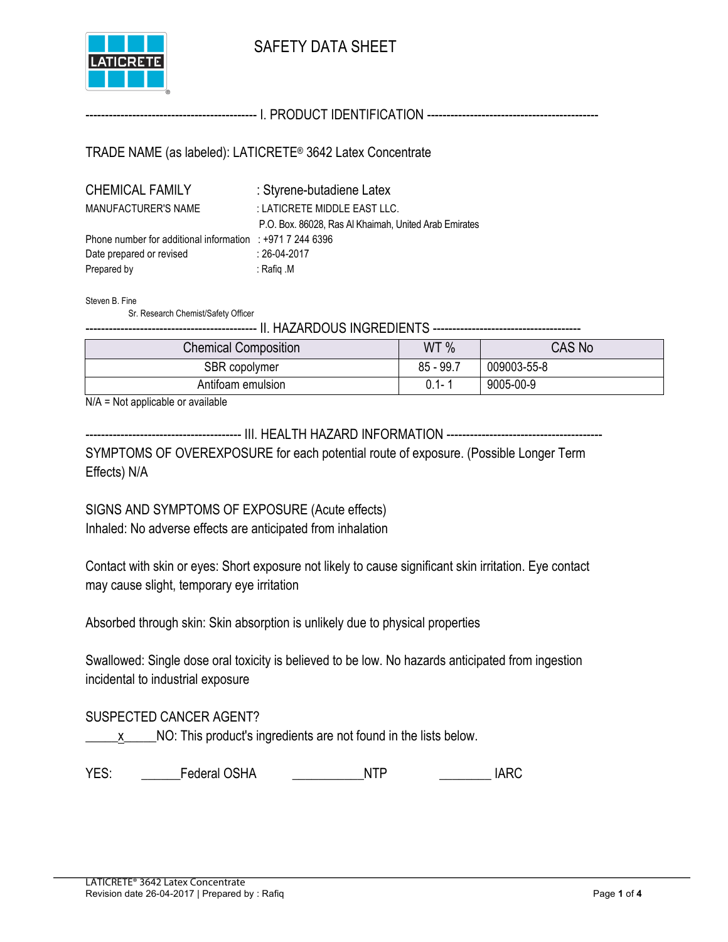

## SAFETY DATA SHEET

-------------------------------------------- I. PRODUCT IDENTIFICATION --------------------------------------------

TRADE NAME (as labeled): LATICRETE® 3642 Latex Concentrate

| <b>CHEMICAL FAMILY</b>                                   | : Styrene-butadiene Latex                             |
|----------------------------------------------------------|-------------------------------------------------------|
| MANUFACTURER'S NAME                                      | : LATICRETE MIDDLE EAST LLC.                          |
|                                                          | P.O. Box. 86028, Ras Al Khaimah, United Arab Emirates |
| Phone number for additional information : $+97172446396$ |                                                       |
| Date prepared or revised                                 | $: 26-04-2017$                                        |
| Prepared by                                              | : Rafiq .M                                            |

Steven B. Fine

Sr. Research Chemist/Safety Officer

-------------------------------------------- II. HAZARDOUS INGREDIENTS --------------------------------------

| <b>Chemical Composition</b> | WT %        | <b>CAS No</b> |
|-----------------------------|-------------|---------------|
| SBR copolymer               | $85 - 99.7$ | 009003-55-8   |
| Antifoam emulsion           | $0.1 - 1$   | 9005-00-9     |

N/A = Not applicable or available

---------------------------------------- III. HEALTH HAZARD INFORMATION ----------------------------------------

SYMPTOMS OF OVEREXPOSURE for each potential route of exposure. (Possible Longer Term Effects) N/A

SIGNS AND SYMPTOMS OF EXPOSURE (Acute effects) Inhaled: No adverse effects are anticipated from inhalation

Contact with skin or eyes: Short exposure not likely to cause significant skin irritation. Eye contact may cause slight, temporary eye irritation

Absorbed through skin: Skin absorption is unlikely due to physical properties

Swallowed: Single dose oral toxicity is believed to be low. No hazards anticipated from ingestion incidental to industrial exposure

SUSPECTED CANCER AGENT?

 $\underline{x}$  NO: This product's ingredients are not found in the lists below.

YES: \_\_\_\_\_\_Federal OSHA \_\_\_\_\_\_\_\_\_\_\_NTP \_\_\_\_\_\_\_\_ IARC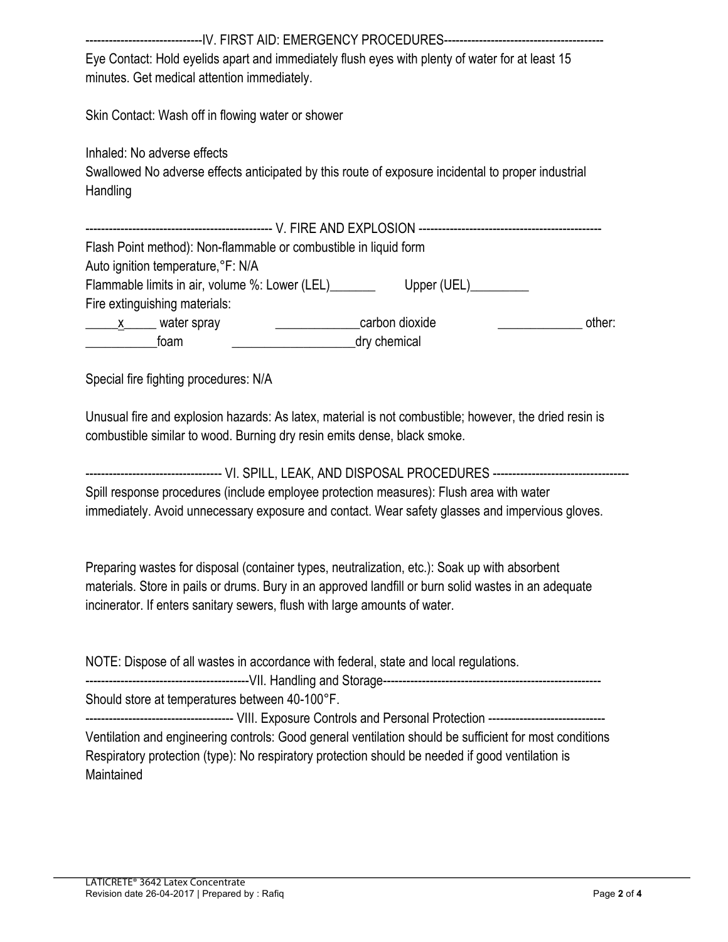| Eye Contact: Hold eyelids apart and immediately flush eyes with plenty of water for at least 15<br>minutes. Get medical attention immediately.                                                                                                                                                      |        |  |  |
|-----------------------------------------------------------------------------------------------------------------------------------------------------------------------------------------------------------------------------------------------------------------------------------------------------|--------|--|--|
| Skin Contact: Wash off in flowing water or shower                                                                                                                                                                                                                                                   |        |  |  |
| Inhaled: No adverse effects<br>Swallowed No adverse effects anticipated by this route of exposure incidental to proper industrial<br>Handling                                                                                                                                                       |        |  |  |
|                                                                                                                                                                                                                                                                                                     |        |  |  |
| Flash Point method): Non-flammable or combustible in liquid form                                                                                                                                                                                                                                    |        |  |  |
| Auto ignition temperature, °F: N/A                                                                                                                                                                                                                                                                  |        |  |  |
| Flammable limits in air, volume %: Lower (LEL)__________________________________                                                                                                                                                                                                                    |        |  |  |
| Fire extinguishing materials:                                                                                                                                                                                                                                                                       |        |  |  |
| carbon dioxide<br><u>x water</u> spray                                                                                                                                                                                                                                                              | other: |  |  |
| dry chemical<br><b>Example 1</b> foam                                                                                                                                                                                                                                                               |        |  |  |
| Unusual fire and explosion hazards: As latex, material is not combustible; however, the dried resin is<br>combustible similar to wood. Burning dry resin emits dense, black smoke.<br>----------------------------------- VI. SPILL, LEAK, AND DISPOSAL PROCEDURES -------------------------------- |        |  |  |
| Spill response procedures (include employee protection measures): Flush area with water<br>immediately. Avoid unnecessary exposure and contact. Wear safety glasses and impervious gloves.                                                                                                          |        |  |  |
| Preparing wastes for disposal (container types, neutralization, etc.): Soak up with absorbent<br>materials. Store in pails or drums. Bury in an approved landfill or burn solid wastes in an adequate<br>incinerator. If enters sanitary sewers, flush with large amounts of water.                 |        |  |  |
| NOTE: Dispose of all wastes in accordance with federal, state and local regulations.                                                                                                                                                                                                                |        |  |  |
| Should store at temperatures between 40-100°F.                                                                                                                                                                                                                                                      |        |  |  |
| ------------------------------------- VIII. Exposure Controls and Personal Protection -------------------------                                                                                                                                                                                     |        |  |  |
| Ventilation and engineering controls: Good general ventilation should be sufficient for most conditions<br>Respiratory protection (type): No respiratory protection should be needed if good ventilation is<br>Maintained                                                                           |        |  |  |
|                                                                                                                                                                                                                                                                                                     |        |  |  |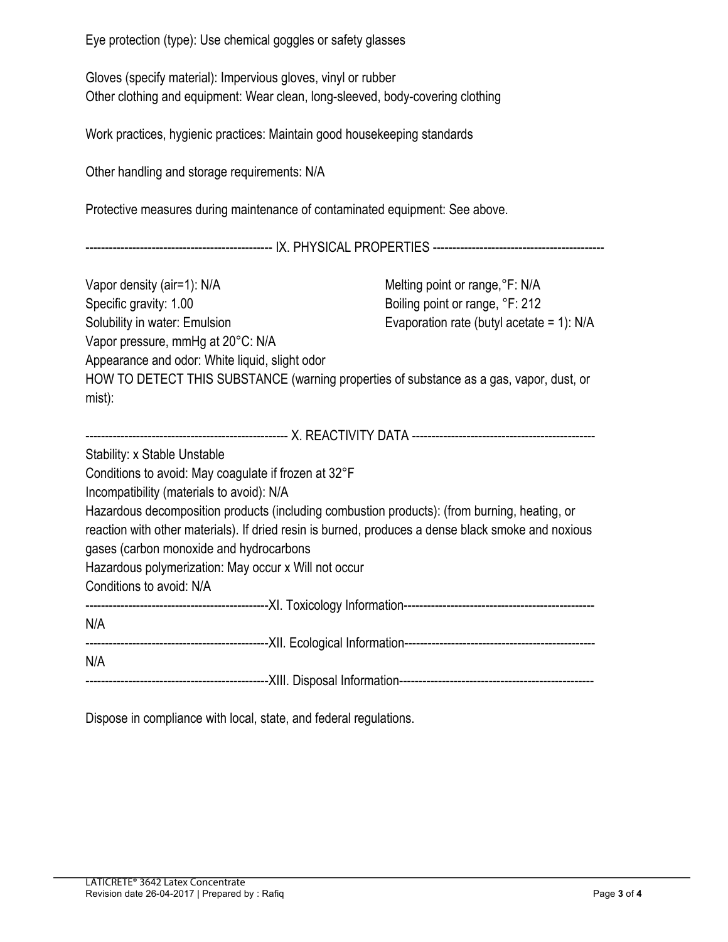Eye protection (type): Use chemical goggles or safety glasses

Gloves (specify material): Impervious gloves, vinyl or rubber Other clothing and equipment: Wear clean, long-sleeved, body-covering clothing

Work practices, hygienic practices: Maintain good housekeeping standards

Other handling and storage requirements: N/A

Protective measures during maintenance of contaminated equipment: See above.

------------------------------------------------ IX. PHYSICAL PROPERTIES --------------------------------------------

| Vapor density (air=1): N/A                                                                         | Melting point or range, °F: N/A             |  |  |
|----------------------------------------------------------------------------------------------------|---------------------------------------------|--|--|
| Specific gravity: 1.00                                                                             | Boiling point or range, °F: 212             |  |  |
| Solubility in water: Emulsion                                                                      | Evaporation rate (butyl acetate = 1): $N/A$ |  |  |
| Vapor pressure, mmHg at 20°C: N/A                                                                  |                                             |  |  |
| Appearance and odor: White liquid, slight odor                                                     |                                             |  |  |
| HOW TO DETECT THIS SUBSTANCE (warning properties of substance as a gas, vapor, dust, or            |                                             |  |  |
| $mist)$ :                                                                                          |                                             |  |  |
|                                                                                                    |                                             |  |  |
|                                                                                                    |                                             |  |  |
| Stability: x Stable Unstable                                                                       |                                             |  |  |
| Conditions to avoid: May coagulate if frozen at 32°F                                               |                                             |  |  |
| Incompatibility (materials to avoid): N/A                                                          |                                             |  |  |
| Hazardous decomposition products (including combustion products): (from burning, heating, or       |                                             |  |  |
| reaction with other materials). If dried resin is burned, produces a dense black smoke and noxious |                                             |  |  |
| gases (carbon monoxide and hydrocarbons                                                            |                                             |  |  |
| Hazardous polymerization: May occur x Will not occur                                               |                                             |  |  |
| Conditions to avoid: N/A                                                                           |                                             |  |  |
|                                                                                                    |                                             |  |  |
| N/A                                                                                                |                                             |  |  |
|                                                                                                    |                                             |  |  |
| N/A                                                                                                |                                             |  |  |
|                                                                                                    |                                             |  |  |

Dispose in compliance with local, state, and federal regulations.